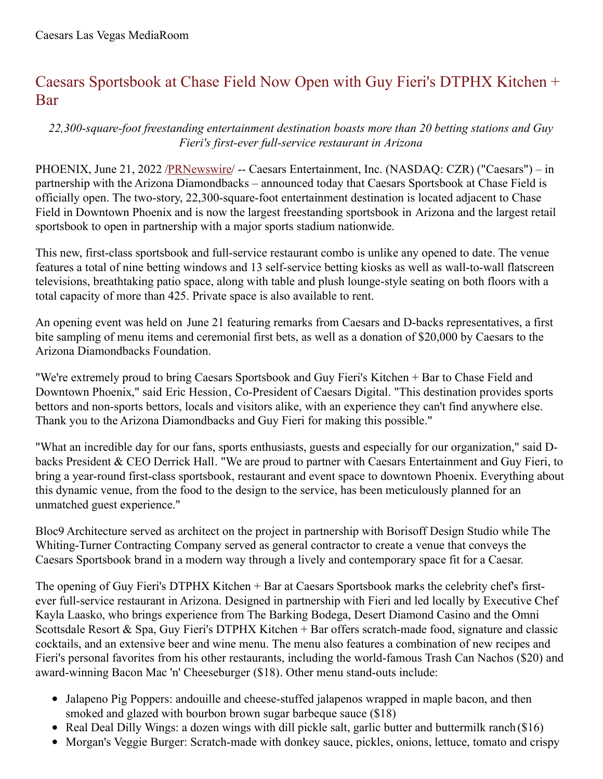## Caesars Sportsbook at Chase Field Now Open with Guy Fieri's DTPHX Kitchen + Bar

*22,300-square-foot freestanding entertainment destination boasts more than 20 betting stations and Guy Fieri's first-ever full-service restaurant in Arizona*

PHOENIX, June 21, 2022 [/PRNewswire](http://www.prnewswire.com/)/ -- Caesars Entertainment, Inc. (NASDAQ: CZR) ("Caesars") – in partnership with the Arizona Diamondbacks – announced today that Caesars Sportsbook at Chase Field is officially open. The two-story, 22,300-square-foot entertainment destination is located adjacent to Chase Field in Downtown Phoenix and is now the largest freestanding sportsbook in Arizona and the largest retail sportsbook to open in partnership with a major sports stadium nationwide.

This new, first-class sportsbook and full-service restaurant combo is unlike any opened to date. The venue features a total of nine betting windows and 13 self-service betting kiosks as well as wall-to-wall flatscreen televisions, breathtaking patio space, along with table and plush lounge-style seating on both floors with a total capacity of more than 425. Private space is also available to rent.

An opening event was held on June 21 featuring remarks from Caesars and D-backs representatives, a first bite sampling of menu items and ceremonial first bets, as well as a donation of \$20,000 by Caesars to the Arizona Diamondbacks Foundation.

"We're extremely proud to bring Caesars Sportsbook and Guy Fieri's Kitchen + Bar to Chase Field and Downtown Phoenix," said Eric Hession, Co-President of Caesars Digital. "This destination provides sports bettors and non-sports bettors, locals and visitors alike, with an experience they can't find anywhere else. Thank you to the Arizona Diamondbacks and Guy Fieri for making this possible."

"What an incredible day for our fans, sports enthusiasts, guests and especially for our organization," said Dbacks President & CEO Derrick Hall. "We are proud to partner with Caesars Entertainment and Guy Fieri, to bring a year-round first-class sportsbook, restaurant and event space to downtown Phoenix. Everything about this dynamic venue, from the food to the design to the service, has been meticulously planned for an unmatched guest experience."

Bloc9 Architecture served as architect on the project in partnership with Borisoff Design Studio while The Whiting-Turner Contracting Company served as general contractor to create a venue that conveys the Caesars Sportsbook brand in a modern way through a lively and contemporary space fit for a Caesar.

The opening of Guy Fieri's DTPHX Kitchen + Bar at Caesars Sportsbook marks the celebrity chef's firstever full-service restaurant in Arizona. Designed in partnership with Fieri and led locally by Executive Chef Kayla Laasko, who brings experience from The Barking Bodega, Desert Diamond Casino and the Omni Scottsdale Resort & Spa, Guy Fieri's DTPHX Kitchen + Bar offers scratch-made food, signature and classic cocktails, and an extensive beer and wine menu. The menu also features a combination of new recipes and Fieri's personal favorites from his other restaurants, including the world-famous Trash Can Nachos (\$20) and award-winning Bacon Mac 'n' Cheeseburger (\$18). Other menu stand-outs include:

- Jalapeno Pig Poppers: andouille and cheese-stuffed jalapenos wrapped in maple bacon, and then smoked and glazed with bourbon brown sugar barbeque sauce (\$18)
- Real Deal Dilly Wings: a dozen wings with dill pickle salt, garlic butter and buttermilk ranch (\$16)
- Morgan's Veggie Burger: Scratch-made with donkey sauce, pickles, onions, lettuce, tomato and crispy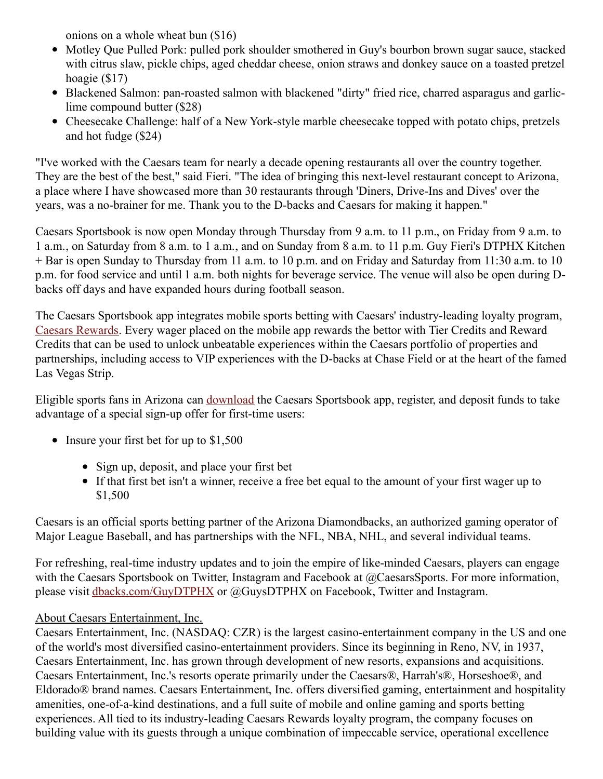onions on a whole wheat bun (\$16)

- Motley Que Pulled Pork: pulled pork shoulder smothered in Guy's bourbon brown sugar sauce, stacked with citrus slaw, pickle chips, aged cheddar cheese, onion straws and donkey sauce on a toasted pretzel hoagie (\$17)
- Blackened Salmon: pan-roasted salmon with blackened "dirty" fried rice, charred asparagus and garliclime compound butter (\$28)
- Cheesecake Challenge: half of a New York-style marble cheesecake topped with potato chips, pretzels and hot fudge (\$24)

"I've worked with the Caesars team for nearly a decade opening restaurants all over the country together. They are the best of the best," said Fieri. "The idea of bringing this next-level restaurant concept to Arizona, a place where I have showcased more than 30 restaurants through 'Diners, Drive-Ins and Dives' over the years, was a no-brainer for me. Thank you to the D-backs and Caesars for making it happen."

Caesars Sportsbook is now open Monday through Thursday from 9 a.m. to 11 p.m., on Friday from 9 a.m. to 1 a.m., on Saturday from 8 a.m. to 1 a.m., and on Sunday from 8 a.m. to 11 p.m. Guy Fieri's DTPHX Kitchen + Bar is open Sunday to Thursday from 11 a.m. to 10 p.m. and on Friday and Saturday from 11:30 a.m. to 10 p.m. for food service and until 1 a.m. both nights for beverage service. The venue will also be open during Dbacks off days and have expanded hours during football season.

The Caesars Sportsbook app integrates mobile sports betting with Caesars' industry-leading loyalty program, Caesars [Rewards](https://c212.net/c/link/?t=0&l=en&o=3573778-1&h=622751268&u=https%3A%2F%2Fwww.caesars.com%2Fmyrewards&a=Caesars+Rewards). Every wager placed on the mobile app rewards the bettor with Tier Credits and Reward Credits that can be used to unlock unbeatable experiences within the Caesars portfolio of properties and partnerships, including access to VIP experiences with the D-backs at Chase Field or at the heart of the famed Las Vegas Strip.

Eligible sports fans in Arizona can [download](https://c212.net/c/link/?t=0&l=en&o=3573778-1&h=1156575511&u=https%3A%2F%2Fwww.williamhill.com%2Fus%2Faz%2Fget-the-app&a=download) the Caesars Sportsbook app, register, and deposit funds to take advantage of a special sign-up offer for first-time users:

- Insure your first bet for up to \$1,500
	- Sign up, deposit, and place your first bet
	- If that first bet isn't a winner, receive a free bet equal to the amount of your first wager up to \$1,500

Caesars is an official sports betting partner of the Arizona Diamondbacks, an authorized gaming operator of Major League Baseball, and has partnerships with the NFL, NBA, NHL, and several individual teams.

For refreshing, real-time industry updates and to join the empire of like-minded Caesars, players can engage with the Caesars Sportsbook on Twitter, Instagram and Facebook at @CaesarsSports. For more information, please visit [dbacks.com/GuyDTPHX](https://c212.net/c/link/?t=0&l=en&o=3573778-1&h=3550880831&u=https%3A%2F%2Fwww.dbacks.com%2FGuyDTPHX&a=dbacks.com%2FGuyDTPHX) or @GuysDTPHX on Facebook, Twitter and Instagram.

## About Caesars Entertainment, Inc.

Caesars Entertainment, Inc. (NASDAQ: CZR) is the largest casino-entertainment company in the US and one of the world's most diversified casino-entertainment providers. Since its beginning in Reno, NV, in 1937, Caesars Entertainment, Inc. has grown through development of new resorts, expansions and acquisitions. Caesars Entertainment, Inc.'s resorts operate primarily under the Caesars®, Harrah's®, Horseshoe®, and Eldorado® brand names. Caesars Entertainment, Inc. offers diversified gaming, entertainment and hospitality amenities, one-of-a-kind destinations, and a full suite of mobile and online gaming and sports betting experiences. All tied to its industry-leading Caesars Rewards loyalty program, the company focuses on building value with its guests through a unique combination of impeccable service, operational excellence